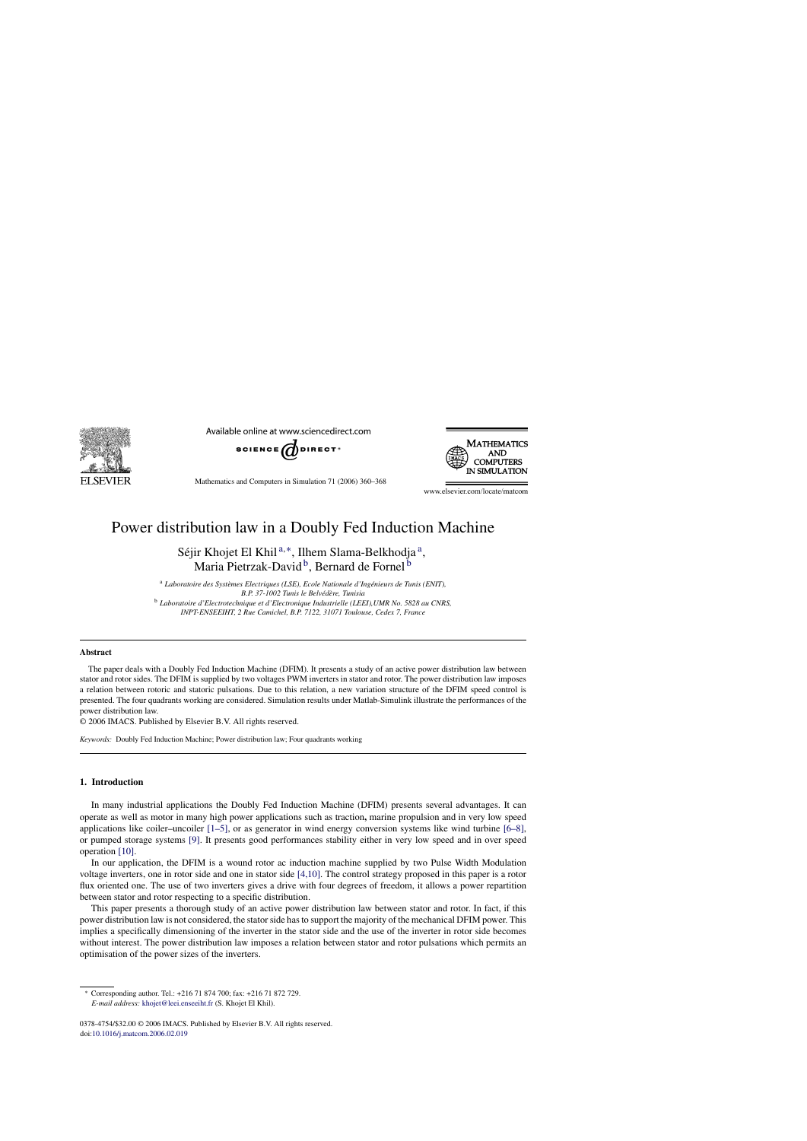

Available online at www.sciencedirect.com



Mathematics and Computers in Simulation 71 (2006) 360–368



www.elsevier.com/locate/matcom

## Power distribution law in a Doubly Fed Induction Machine

Séjir Khojet El Khil<sup>a,∗</sup>, Ilhem Slama-Belkhodja<sup>a</sup>, Maria Pietrzak-David<sup>b</sup>, Bernard de Fornel<sup>b</sup>

<sup>a</sup> Laboratoire des Systèmes Electriques (LSE), Ecole Nationale d'Ingénieurs de Tunis (ENIT), *B.P. 37-1002 Tunis le Belv´ed`ere, Tunisia* <sup>b</sup> *Laboratoire d'Electrotechnique et d'Electronique Industrielle (LEEI),UMR No. 5828 au CNRS, INPT-ENSEEIHT, 2 Rue Camichel, B.P. 7122, 31071 Toulouse, Cedex 7, France*

#### **Abstract**

The paper deals with a Doubly Fed Induction Machine (DFIM). It presents a study of an active power distribution law between stator and rotor sides. The DFIM is supplied by two voltages PWM inverters in stator and rotor. The power distribution law imposes a relation between rotoric and statoric pulsations. Due to this relation, a new variation structure of the DFIM speed control is presented. The four quadrants working are considered. Simulation results under Matlab-Simulink illustrate the performances of the power distribution law.

© 2006 IMACS. Published by Elsevier B.V. All rights reserved.

*Keywords:* Doubly Fed Induction Machine; Power distribution law; Four quadrants working

### **1. Introduction**

In many industrial applications the Doubly Fed Induction Machine (DFIM) presents several advantages. It can operate as well as motor in many high power applications such as traction**,** marine propulsion and in very low speed applications like coiler–uncoiler [\[1–5\],](#page--1-0) or as generator in wind energy conversion systems like wind turbine [\[6–8\],](#page--1-0) or pumped storage systems [\[9\].](#page--1-0) It presents good performances stability either in very low speed and in over speed operation [\[10\].](#page--1-0)

In our application, the DFIM is a wound rotor ac induction machine supplied by two Pulse Width Modulation voltage inverters, one in rotor side and one in stator side [\[4,10\].](#page--1-0) The control strategy proposed in this paper is a rotor flux oriented one. The use of two inverters gives a drive with four degrees of freedom, it allows a power repartition between stator and rotor respecting to a specific distribution.

This paper presents a thorough study of an active power distribution law between stator and rotor. In fact, if this power distribution law is not considered, the stator side has to support the majority of the mechanical DFIM power. This implies a specifically dimensioning of the inverter in the stator side and the use of the inverter in rotor side becomes without interest. The power distribution law imposes a relation between stator and rotor pulsations which permits an optimisation of the power sizes of the inverters.

<sup>∗</sup> Corresponding author. Tel.: +216 71 874 700; fax: +216 71 872 729. *E-mail address:* [khojet@leei.enseeiht.fr](mailto:khojet@leei.enseeiht.fr) (S. Khojet El Khil).

<sup>0378-4754/\$32.00 © 2006</sup> IMACS. Published by Elsevier B.V. All rights reserved. doi[:10.1016/j.matcom.2006.02.019](dx.doi.org/10.1016/j.matcom.2006.02.019)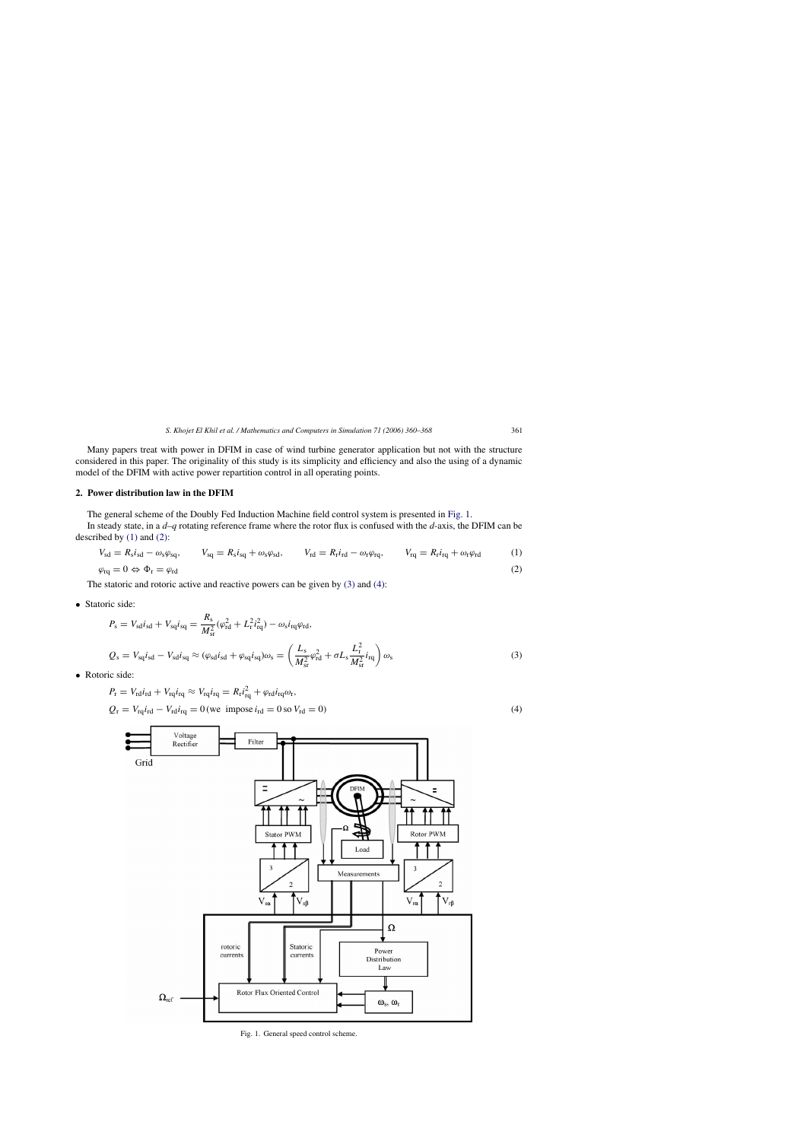Many papers treat with power in DFIM in case of wind turbine generator application but not with the structure considered in this paper. The originality of this study is its simplicity and efficiency and also the using of a dynamic model of the DFIM with active power repartition control in all operating points.

#### **2. Power distribution law in the DFIM**

The general scheme of the Doubly Fed Induction Machine field control system is presented in Fig. 1.

In steady state, in a *d*–*q* rotating reference frame where the rotor flux is confused with the *d*-axis, the DFIM can be described by  $(1)$  and  $(2)$ :

$$
V_{sd} = R_s i_{sd} - \omega_s \varphi_{sq}, \qquad V_{sq} = R_s i_{sq} + \omega_s \varphi_{sd}, \qquad V_{rd} = R_r i_{rd} - \omega_r \varphi_{rq}, \qquad V_{rq} = R_r i_{rq} + \omega_r \varphi_{rd} \tag{1}
$$
  

$$
\varphi_{rq} = 0 \Leftrightarrow \Phi_r = \varphi_{rd} \tag{2}
$$

The statoric and rotoric active and reactive powers can be given by (3) and (4):

• Statoric side:

$$
P_{\rm s} = V_{\rm sd}i_{\rm sd} + V_{\rm sq}i_{\rm sq} = \frac{R_{\rm s}}{M_{\rm sr}^2}(\varphi_{\rm rd}^2 + L_{\rm r}^2 i_{\rm rq}^2) - \omega_{\rm s}i_{\rm rq}\varphi_{\rm rd},
$$
  

$$
Q_{\rm s} = V_{\rm sq}i_{\rm sd} - V_{\rm sd}i_{\rm sq} \approx (\varphi_{\rm sd}i_{\rm sd} + \varphi_{\rm sq}i_{\rm sq})\omega_{\rm s} = \left(\frac{L_{\rm s}}{M_{\rm sr}^2}\varphi_{\rm rd}^2 + \sigma L_{\rm s}\frac{L_{\rm r}^2}{M_{\rm sr}^2}i_{\rm rq}\right)\omega_{\rm s}
$$
(3)

• Rotoric side:

$$
P_{\rm r} = V_{\rm rd} i_{\rm rd} + V_{\rm rq} i_{\rm rq} \approx V_{\rm rq} i_{\rm rq} = R_{\rm r} i_{\rm rq}^2 + \varphi_{\rm rd} i_{\rm rq} \omega_{\rm r},
$$
  
\n
$$
Q_{\rm r} = V_{\rm rq} i_{\rm rd} - V_{\rm rd} i_{\rm rq} = 0 \text{ (we impose } i_{\rm rd} = 0 \text{ so } V_{\rm rd} = 0)
$$
\n(4)



Fig. 1. General speed control scheme.